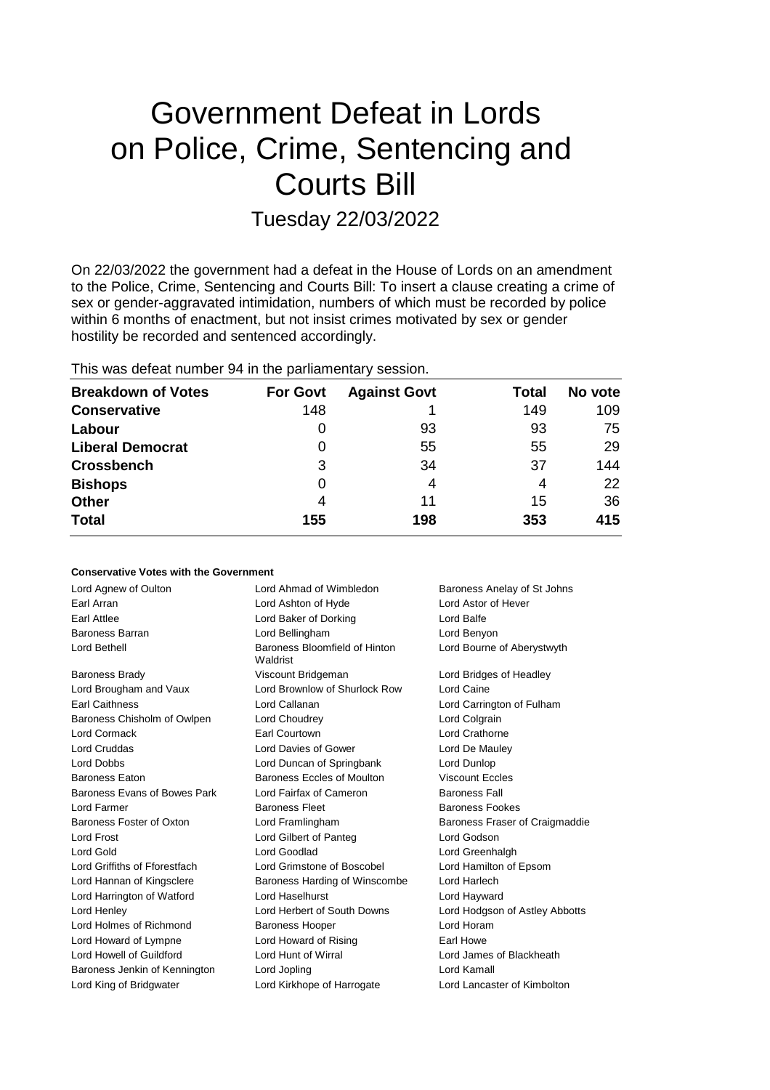# Government Defeat in Lords on Police, Crime, Sentencing and Courts Bill

## Tuesday 22/03/2022

On 22/03/2022 the government had a defeat in the House of Lords on an amendment to the Police, Crime, Sentencing and Courts Bill: To insert a clause creating a crime of sex or gender-aggravated intimidation, numbers of which must be recorded by police within 6 months of enactment, but not insist crimes motivated by sex or gender hostility be recorded and sentenced accordingly.

### This was defeat number 94 in the parliamentary session.

| <b>Breakdown of Votes</b> | <b>For Govt</b> | <b>Against Govt</b> | Total | No vote |
|---------------------------|-----------------|---------------------|-------|---------|
| <b>Conservative</b>       | 148             |                     | 149   | 109     |
| Labour                    |                 | 93                  | 93    | 75      |
| <b>Liberal Democrat</b>   | O               | 55                  | 55    | 29      |
| <b>Crossbench</b>         | 3               | 34                  | 37    | 144     |
| <b>Bishops</b>            | 0               | 4                   | 4     | 22      |
| <b>Other</b>              | 4               | 11                  | 15    | 36      |
| <b>Total</b>              | 155             | 198                 | 353   | 415     |

#### **Conservative Votes with the Government**

| Lord Agnew of Oulton          | Lord Ahmad of Wimbledon                   | Baroness Anelay of St Johns    |  |
|-------------------------------|-------------------------------------------|--------------------------------|--|
| Earl Arran                    | Lord Ashton of Hyde                       | <b>Lord Astor of Hever</b>     |  |
| Earl Attlee                   | Lord Baker of Dorking                     | Lord Balfe                     |  |
| <b>Baroness Barran</b>        | Lord Bellingham                           | Lord Benyon                    |  |
| Lord Bethell                  | Baroness Bloomfield of Hinton<br>Waldrist | Lord Bourne of Aberystwyth     |  |
| <b>Baroness Brady</b>         | Viscount Bridgeman                        | Lord Bridges of Headley        |  |
| Lord Brougham and Vaux        | Lord Brownlow of Shurlock Row             | Lord Caine                     |  |
| <b>Earl Caithness</b>         | Lord Callanan                             | Lord Carrington of Fulham      |  |
| Baroness Chisholm of Owlpen   | Lord Choudrey                             | Lord Colgrain                  |  |
| Lord Cormack                  | <b>Farl Courtown</b>                      | Lord Crathorne                 |  |
| Lord Cruddas                  | Lord Davies of Gower                      | Lord De Mauley                 |  |
| <b>Lord Dobbs</b>             | Lord Duncan of Springbank                 | Lord Dunlop                    |  |
| <b>Baroness Eaton</b>         | Baroness Eccles of Moulton                | <b>Viscount Eccles</b>         |  |
| Baroness Evans of Bowes Park  | Lord Fairfax of Cameron                   | <b>Baroness Fall</b>           |  |
| Lord Farmer                   | <b>Baroness Fleet</b>                     | Baroness Fookes                |  |
| Baroness Foster of Oxton      | Lord Framlingham                          | Baroness Fraser of Craigmaddie |  |
| Lord Frost                    | Lord Gilbert of Panteg                    | Lord Godson                    |  |
| Lord Gold                     | Lord Goodlad                              | Lord Greenhalgh                |  |
| Lord Griffiths of Fforestfach | Lord Grimstone of Boscobel                | Lord Hamilton of Epsom         |  |
| Lord Hannan of Kingsclere     | Baroness Harding of Winscombe             | Lord Harlech                   |  |
| Lord Harrington of Watford    | Lord Haselhurst                           | Lord Hayward                   |  |
| Lord Henley                   | Lord Herbert of South Downs               | Lord Hodgson of Astley Abbotts |  |
| Lord Holmes of Richmond       | <b>Baroness Hooper</b>                    | I ord Horam                    |  |
| Lord Howard of Lympne         | Lord Howard of Rising                     | Earl Howe                      |  |
| Lord Howell of Guildford      | Lord Hunt of Wirral                       | Lord James of Blackheath       |  |
| Baroness Jenkin of Kennington | Lord Jopling                              | Lord Kamall                    |  |
| Lord King of Bridgwater       | Lord Kirkhope of Harrogate                | Lord Lancaster of Kimbolton    |  |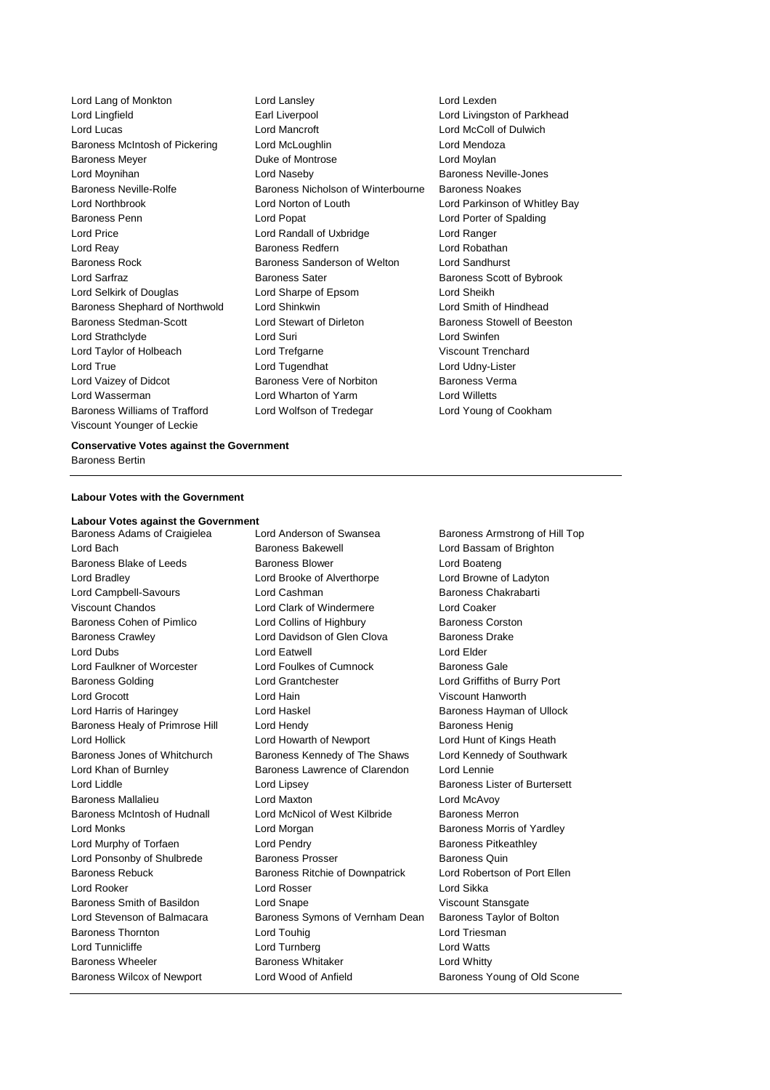Lord Lang of Monkton Lord Lansley Lord Lexden Baroness Stedman-Scott Lord Stewart of Dirleton Viscount Younger of Leckie

Lord Lingfield **Earl Liverpool** Earl Liverpool Lord Livingston of Parkhead Lord Lucas Lord Mancroft Lord McColl of Dulwich Baroness McIntosh of Pickering Lord McLoughlin Lord Mendoza Baroness Meyer **Duke of Montrose** Lord Moylan Lord Moynihan Lord Naseby Baroness Neville-Jones Baroness Neville-Rolfe Baroness Nicholson of Winterbourne Baroness Noakes Lord Northbrook Lord Norton of Louth Lord Parkinson of Whitley Bay Baroness Penn Lord Popat Lord Porter of Spalding Lord Price Lord Randall of Uxbridge Lord Ranger Lord Reay **Baroness Redfern Baroness Redfern Lord Robathan** Baroness Rock Baroness Sanderson of Welton Lord Sandhurst Lord Sarfraz Baroness Sater Baroness Scott of Bybrook Lord Selkirk of Douglas Lord Sharpe of Epsom Lord Sheikh Baroness Shephard of Northwold Lord Shinkwin Lord Shink Lord Smith of Hindhead<br>Baroness Stedman-Scott Lord Stewart of Dirleton Baroness Stowell of Beeston Lord Strathclyde Lord Suri Lord Swinfen Lord Taylor of Holbeach Lord Trefgarne Viscount Trenchard Lord True Lord Tugendhat Lord Udny-Lister Lord Vaizey of Didcot **Baroness Vere of Norbiton** Baroness Verma Lord Wasserman Lord Wharton of Yarm Lord Willetts Baroness Williams of Trafford Lord Wolfson of Tredegar Lord Young of Cookham

### **Conservative Votes against the Government**

Baroness Bertin

#### **Labour Votes with the Government**

## **Labour Votes against the Government**

Lord Bach Baroness Bakewell Lord Bassam of Brighton Baroness Blake of Leeds Baroness Blower Baroness Blower Lord Boateng Lord Bradley Lord Brooke of Alverthorpe Lord Browne of Ladyton Lord Campbell-Savours Lord Cashman Baroness Chakrabarti Viscount Chandos Lord Clark of Windermere Lord Coaker Baroness Cohen of Pimlico Lord Collins of Highbury Baroness Corston Baroness Crawley Lord Davidson of Glen Clova Baroness Drake Lord Dubs Lord Eatwell Lord Elder Lord Faulkner of Worcester **Lord Foulkes of Cumnock** Baroness Gale Baroness Golding Lord Grantchester Lord Griffiths of Burry Port Lord Grocott Lord Hain Viscount Hanworth Lord Harris of Haringey **Lord Haskel Communist Communist Communist Communist Communist Communist Communist Communist Communist Communist Communist Communist Communist Communist Communist Communist Communist Communist Commu** Baroness Healy of Primrose Hill Lord Hendy **Baroness Henig** Baroness Henig Lord Hollick Lord Howarth of Newport Lord Hunt of Kings Heath Baroness Jones of Whitchurch Baroness Kennedy of The Shaws Lord Kennedy of Southwark Lord Khan of Burnley **Baroness Lawrence of Clarendon** Lord Lennie Lord Liddle Lord Lipsey Baroness Lister of Burtersett Baroness Mallalieu Lord Maxton Lord McAvoy Baroness McIntosh of Hudnall Lord McNicol of West Kilbride Baroness Merron Lord Monks **Lord Morgan** Lord Morgan **Baroness Morris of Yardley** Lord Murphy of Torfaen **Lord Pendry Communist Communist Property** Baroness Pitkeathley Lord Ponsonby of Shulbrede Baroness Prosser Baroness Quin Baroness Rebuck Baroness Ritchie of Downpatrick Lord Robertson of Port Ellen Lord Rooker Lord Rosser Lord Sikka Baroness Smith of Basildon **Lord Snape Lord Snape** Viscount Stansgate Lord Stevenson of Balmacara Baroness Symons of Vernham Dean Baroness Taylor of Bolton Baroness Thornton **Communist Construction** Lord Touhig Lord Triesman Lord Triesman Lord Tunnicliffe **Lord Turnberg** Lord Turnberg **Lord Turnberg** Lord Watts Baroness Wheeler **Baroness Whitaker** Lord Whitty Baroness Wilcox of Newport Lord Wood of Anfield Baroness Young of Old Scone

Baroness Armstrong of Hill Top